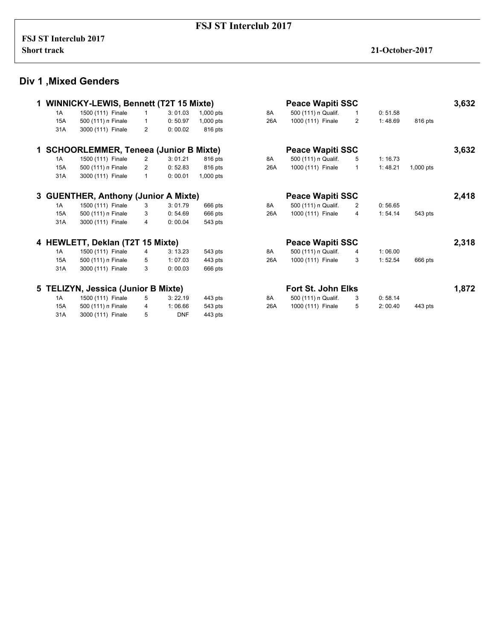# **Div 1 ,Mixed Genders**

|            | <b>WINNICKY-LEWIS, Bennett (T2T 15 Mixte)</b> |              |            |             | <b>Peace Wapiti SSC</b> |                         |                |         |             |       |
|------------|-----------------------------------------------|--------------|------------|-------------|-------------------------|-------------------------|----------------|---------|-------------|-------|
| 1A         | 1500 (111) Finale                             | 1            | 3:01.03    | 1,000 pts   | 8A                      | 500 (111) n Qualif.     | 1              | 0:51.58 |             |       |
| 15A        | 500 (111) n Finale                            | $\mathbf{1}$ | 0:50.97    | $1,000$ pts | 26A                     | 1000 (111) Finale       | $\overline{2}$ | 1:48.69 | 816 pts     |       |
| 31A        | 3000 (111) Finale                             | 2            | 0:00.02    | 816 pts     |                         |                         |                |         |             |       |
|            | <b>SCHOORLEMMER, Teneea (Junior B Mixte)</b>  |              |            |             |                         | <b>Peace Wapiti SSC</b> |                |         |             | 3,632 |
| 1A         | 1500 (111) Finale                             | 2            | 3:01.21    | 816 pts     | 8A                      | 500 (111) n Qualif.     | 5              | 1:16.73 |             |       |
| 15A        | 500 (111) n Finale                            | 2            | 0:52.83    | 816 pts     | 26A                     | 1000 (111) Finale       | $\mathbf{1}$   | 1:48.21 | $1,000$ pts |       |
| 31A        | 3000 (111) Finale                             | $\mathbf{1}$ | 0:00.01    | 1,000 pts   |                         |                         |                |         |             |       |
|            | 3 GUENTHER, Anthony (Junior A Mixte)          |              |            |             |                         | <b>Peace Wapiti SSC</b> |                |         |             | 2,418 |
| 1A         | 1500 (111) Finale                             | 3            | 3:01.79    | 666 pts     | 8A                      | 500 (111) n Qualif.     | 2              | 0:56.65 |             |       |
| <b>15A</b> | 500 (111) n Finale                            | 3            | 0:54.69    | 666 pts     | 26A                     | 1000 (111) Finale       | 4              | 1:54.14 | 543 pts     |       |
| 31A        | 3000 (111) Finale                             | 4            | 0:00.04    | 543 pts     |                         |                         |                |         |             |       |
|            | 4 HEWLETT, Deklan (T2T 15 Mixte)              |              |            |             |                         | <b>Peace Wapiti SSC</b> |                |         |             | 2,318 |
| 1A         | 1500 (111) Finale                             | 4            | 3:13.23    | 543 pts     | 8A                      | 500 (111) n Qualif.     | 4              | 1:06.00 |             |       |
| 15A        | 500 (111) n Finale                            | 5            | 1:07.03    | 443 pts     | 26A                     | 1000 (111) Finale       | 3              | 1:52.54 | 666 pts     |       |
| 31A        | 3000 (111) Finale                             | 3            | 0:00.03    | 666 pts     |                         |                         |                |         |             |       |
|            | 5 TELIZYN, Jessica (Junior B Mixte)           |              |            |             |                         | Fort St. John Elks      |                |         |             | 1,872 |
| 1A         | 1500 (111) Finale                             | 5            | 3:22.19    | 443 pts     | 8A                      | 500 (111) n Qualif.     | 3              | 0:58.14 |             |       |
| 15A        | 500 (111) n Finale                            | 4            | 1:06.66    | 543 pts     | 26A                     | 1000 (111) Finale       | 5              | 2:00.40 | 443 pts     |       |
| 31A        | 3000 (111) Finale                             | 5            | <b>DNF</b> | 443 pts     |                         |                         |                |         |             |       |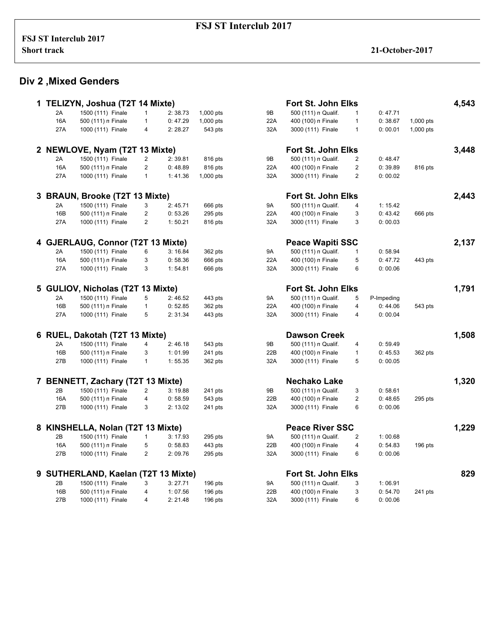#### **Div 2 ,Mixed Genders**

|   |            | TELIZYN, Joshua (T2T 14 Mixte)    |                |                    |           |            | Fort St. John Elks                      |                |                    |           | 4,543 |
|---|------------|-----------------------------------|----------------|--------------------|-----------|------------|-----------------------------------------|----------------|--------------------|-----------|-------|
|   | 2A         | 1500 (111) Finale                 | $\mathbf{1}$   | 2:38.73            | 1,000 pts | 9B         | 500 (111) n Qualif.                     | $\mathbf{1}$   | 0:47.71            |           |       |
|   | 16A        | 500 (111) n Finale                | $\mathbf{1}$   | 0:47.29            | 1,000 pts | 22A        | 400 (100) n Finale                      | $\mathbf{1}$   | 0:38.67            | 1,000 pts |       |
|   | 27A        | 1000 (111) Finale                 | 4              | 2:28.27            | 543 pts   | 32A        | 3000 (111) Finale                       | $\mathbf{1}$   | 0:00.01            | 1,000 pts |       |
|   |            |                                   |                |                    |           |            |                                         |                |                    |           |       |
|   |            | 2 NEWLOVE, Nyam (T2T 13 Mixte)    |                |                    |           |            | Fort St. John Elks                      |                |                    |           | 3,448 |
|   | 2A         | 1500 (111) Finale                 | 2              | 2:39.81            | 816 pts   | 9B         | 500 (111) n Qualif.                     | $\overline{c}$ | 0:48.47            |           |       |
|   | 16A        | 500 (111) n Finale                | $\mathbf{2}$   | 0:48.89            | 816 pts   | 22A        | 400 (100) n Finale                      | $\overline{2}$ | 0:39.89            | 816 pts   |       |
|   | 27A        | 1000 (111) Finale                 | $\mathbf{1}$   | 1:41.36            | 1,000 pts | 32A        | 3000 (111) Finale                       | $\overline{2}$ | 0:00.02            |           |       |
|   |            | 3 BRAUN, Brooke (T2T 13 Mixte)    |                |                    |           |            | Fort St. John Elks                      |                |                    |           | 2,443 |
|   | 2A         | 1500 (111) Finale                 | 3              | 2:45.71            | 666 pts   | <b>9A</b>  | 500 (111) n Qualif.                     | $\overline{4}$ | 1: 15.42           |           |       |
|   | 16B        | 500 (111) n Finale                | $\overline{2}$ | 0:53.26            | 295 pts   | 22A        | 400 (100) n Finale                      | 3              | 0:43.42            | 666 pts   |       |
|   | 27A        | 1000 (111) Finale                 | $\overline{2}$ | 1:50.21            | 816 pts   | 32A        | 3000 (111) Finale                       | 3              | 0:00.03            |           |       |
|   |            |                                   |                |                    |           |            |                                         |                |                    |           |       |
|   |            | 4 GJERLAUG, Connor (T2T 13 Mixte) |                |                    |           |            | <b>Peace Wapiti SSC</b>                 |                |                    |           | 2,137 |
|   | 2A         | 1500 (111) Finale                 | 6              | 3:16.84            | 362 pts   | 9A         | 500 (111) n Qualif.                     | 1              | 0:58.94            |           |       |
|   | 16A        | 500 (111) n Finale                | 3              | 0:58.36            | 666 pts   | 22A        | 400 (100) n Finale                      | 5              | 0:47.72            | 443 pts   |       |
|   | 27A        | 1000 (111) Finale                 | 3              | 1:54.81            | 666 pts   | 32A        | 3000 (111) Finale                       | 6              | 0:00.06            |           |       |
|   |            | 5 GULIOV, Nicholas (T2T 13 Mixte) |                |                    |           |            | Fort St. John Elks                      |                |                    |           | 1,791 |
|   |            |                                   |                |                    |           |            |                                         |                |                    |           |       |
|   | 2A         | 1500 (111) Finale                 | 5              | 2:46.52            | 443 pts   | 9A         | 500 (111) n Qualif.                     | 5              | P-Impeding         |           |       |
|   | 16B        | 500 (111) n Finale                | $\mathbf{1}$   | 0:52.85            | 362 pts   | 22A        | 400 (100) n Finale                      | $\overline{4}$ | 0:44.06            | 543 pts   |       |
|   | 27A        | 1000 (111) Finale                 | 5              | 2:31.34            | 443 pts   | 32A        | 3000 (111) Finale                       | 4              | 0:00.04            |           |       |
|   |            | 6 RUEL, Dakotah (T2T 13 Mixte)    |                |                    |           |            | <b>Dawson Creek</b>                     |                |                    |           | 1,508 |
|   | 2A         | 1500 (111) Finale                 | 4              | 2:46.18            | 543 pts   | 9Β         | 500 (111) n Qualif.                     | 4              | 0:59.49            |           |       |
|   | 16B        | 500 (111) n Finale                | 3              | 1:01.99            | 241 pts   | 22B        | 400 (100) n Finale                      | $\mathbf{1}$   | 0:45.53            | 362 pts   |       |
|   | 27B        | 1000 (111) Finale                 | $\mathbf{1}$   | 1:55.35            | 362 pts   | 32A        | 3000 (111) Finale                       | 5              | 0:00.05            |           |       |
|   |            |                                   |                |                    |           |            | <b>Nechako Lake</b>                     |                |                    |           |       |
|   |            | 7 BENNETT, Zachary (T2T 13 Mixte) |                |                    |           |            |                                         |                |                    |           | 1,320 |
|   | 2B         | 1500 (111) Finale                 | 2              | 3:19.88            | 241 pts   | 9Β         | 500 (111) n Qualif.                     | 3              | 0:58.61            |           |       |
|   | 16A<br>27B | 500 (111) n Finale                | 4<br>3         | 0:58.59<br>2:13.02 | 543 pts   | 22B<br>32A | 400 (100) n Finale<br>3000 (111) Finale | 2<br>6         | 0:48.65<br>0:00.06 | 295 pts   |       |
|   |            | 1000 (111) Finale                 |                |                    | 241 pts   |            |                                         |                |                    |           |       |
| 8 |            | KINSHELLA, Nolan (T2T 13 Mixte)   |                |                    |           |            | <b>Peace River SSC</b>                  |                |                    |           | 1,229 |
|   | 2B         | 1500 (111) Finale                 | $\mathbf{1}$   | 3:17.93            | 295 pts   | 9A         | 500 (111) n Qualif.                     | 2              | 1:00.68            |           |       |
|   | 16A        | 500 (111) n Finale                | 5              | 0:58.83            | 443 pts   | 22B        | 400 (100) n Finale                      | 4              | 0:54.83            | $196$ pts |       |
|   | 27B        | 1000 (111) Finale                 | $\overline{2}$ | 2:09.76            | 295 pts   | 32A        | 3000 (111) Finale                       | 6              | 0:00.06            |           |       |
|   |            |                                   |                |                    |           |            |                                         |                |                    |           | 829   |
| 9 |            | SUTHERLAND, Kaelan (T2T 13 Mixte) |                |                    |           |            | Fort St. John Elks                      |                |                    |           |       |
|   | 2B         | 1500 (111) Finale                 | 3              | 3:27.71            | $196$ pts | 9A         | 500 (111) n Qualif.                     | 3              | 1:06.91            |           |       |
|   | 16B        | 500 (111) n Finale                | 4              | 1:07.56            | $196$ pts | 22B        | 400 (100) n Finale                      | 3              | 0:54.70            | 241 pts   |       |
|   | 27B        | 1000 (111) Finale                 | 4              | 2: 21.48           | $196$ pts | 32A        | 3000 (111) Finale                       | 6              | 0:00.06            |           |       |

| 4,543 |           |                 |                | Fort St. John Elks      |    |
|-------|-----------|-----------------|----------------|-------------------------|----|
|       |           | 0:47.71         | 1              | 500 (111) n Qualif.     | 3  |
|       | 1,000 pts | 0:38.67         | 1              | 400 (100) n Finale      | 2A |
|       | 1,000 pts | 0:00.01         | 1              | 3000 (111) Finale       | 2A |
| 3,448 |           |                 |                | Fort St. John Elks      |    |
|       |           | 0:48.47         | 2              | 500 (111) n Qualif.     | 3  |
|       | 816 pts   | 0:39.89         | 2              | 400 (100) n Finale      | 2A |
|       |           | 0:00.02         | $\overline{2}$ | 3000 (111) Finale       | 2A |
| 2,443 |           |                 |                | Fort St. John Elks      |    |
|       |           | 1: 15.42        | 4              | 500 (111) n Qualif.     | Α  |
|       | 666 pts   | 0:43.42         | 3              | 400 (100) n Finale      | 2A |
|       |           | 0:00.03         | 3              | 3000 (111) Finale       | 2A |
| 2,137 |           |                 |                | <b>Peace Wapiti SSC</b> |    |
|       |           | 0:58.94         | 1              | 500 (111) n Qualif.     | Α  |
|       | 443 pts   | 0:47.72         | 5              | 400 (100) n Finale      | 2A |
|       |           | 0:00.06         | 6              | 3000 (111) Finale       | 2A |
| 1,791 |           |                 |                | Fort St. John Elks      |    |
|       |           | P-Impeding      | 5              | 500 (111) n Qualif.     | Ą  |
|       | 543 pts   | 0:44.06         | 4              | 400 (100) n Finale      | 2A |
|       |           | 0:00.04         | 4              | 3000 (111) Finale       | 2A |
| 1,508 |           |                 |                | Dawson Creek            |    |
|       |           | 0:59.49         | 4              | 500 (111) n Qualif.     | 3  |
|       | 362 pts   | 0:45.53         | 1              | 400 (100) n Finale      | 2B |
|       |           | 0:00.05         | 5              | 3000 (111) Finale       | 2A |
| 1,320 |           |                 |                | Nechako Lake            |    |
|       |           | 0:58.61         | 3              | 500 (111) n Qualif.     | 3  |
|       | 295 pts   | 0:48.65         | 2              | 400 (100) n Finale      | 2B |
|       |           | 0:00.06         | 6              | 3000 (111) Finale       | 2A |
| 1,229 |           |                 |                | <b>Peace River SSC</b>  |    |
|       |           | 1:00.68         | 2              | 500 (111) n Qualif.     | 4  |
|       | 196 pts   | 0:54.83         | 4              | 400 (100) n Finale      | 2B |
|       |           | 0:00.06         | 6              | 3000 (111) Finale       | 2A |
| 829   |           |                 |                | Fort St. John Elks      |    |
|       |           | 1:06.91         | 3              | 500 (111) n Qualif.     | ۹  |
|       | 241 pts   | 0:54.70         | 3              | 400 (100) n Finale      | 2B |
|       |           | <u>በ፡ በበ በፍ</u> | ี              | 3000 (111) Finale       | DΑ |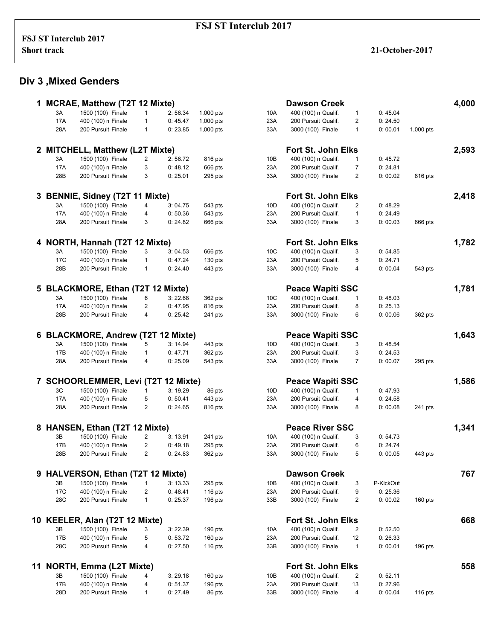# **Div 3 ,Mixed Genders**

|    |                 | 1 MCRAE, Matthew (T2T 12 Mixte)          |                         |                    |                        |                 | <b>Dawson Creek</b>                      |                    |                    |           | 4,000 |
|----|-----------------|------------------------------------------|-------------------------|--------------------|------------------------|-----------------|------------------------------------------|--------------------|--------------------|-----------|-------|
|    | 3A              | 1500 (100) Finale                        | 1                       | 2:56.34            | 1,000 pts              | 10A             | 400 (100) n Qualif.                      | 1                  | 0:45.04            |           |       |
|    | <b>17A</b>      | 400 (100) n Finale                       | $\mathbf{1}$            | 0:45.47            | 1,000 pts              | 23A             | 200 Pursuit Qualif.                      | 2                  | 0:24.50            |           |       |
|    | 28A             | 200 Pursuit Finale                       | $\mathbf{1}$            | 0:23.85            | 1,000 pts              | 33A             | 3000 (100) Finale                        | $\mathbf{1}$       | 0:00.01            | 1,000 pts |       |
| 2  |                 | <b>MITCHELL, Matthew (L2T Mixte)</b>     |                         |                    |                        |                 | <b>Fort St. John Elks</b>                |                    |                    |           | 2,593 |
|    | 3A              | 1500 (100) Finale                        | $\overline{c}$          | 2:56.72            | 816 pts                | 10B             | 400 (100) n Qualif.                      | 1                  | 0:45.72            |           |       |
|    | 17A             | 400 (100) n Finale                       | 3                       | 0:48.12            | 666 pts                | 23A             | 200 Pursuit Qualif.                      | 7                  | 0: 24.81           |           |       |
|    | 28B             | 200 Pursuit Finale                       | 3                       | 0:25.01            | 295 pts                | 33A             | 3000 (100) Finale                        | 2                  | 0:00.02            | 816 pts   |       |
|    |                 |                                          |                         |                    |                        |                 |                                          |                    |                    |           |       |
|    |                 | <b>BENNIE, Sidney (T2T 11 Mixte)</b>     |                         |                    |                        |                 | Fort St. John Elks                       |                    |                    |           | 2,418 |
|    | 3A              | 1500 (100) Finale                        | 4                       | 3:04.75            | 543 pts                | 10 <sub>D</sub> | 400 (100) n Qualif.                      | 2                  | 0:48.29            |           |       |
|    | <b>17A</b>      | 400 (100) n Finale                       | 4                       | 0:50.36            | 543 pts                | 23A             | 200 Pursuit Qualif.                      | $\mathbf{1}$       | 0:24.49            |           |       |
|    | 28A             | 200 Pursuit Finale                       | 3                       | 0: 24.82           | 666 pts                | 33A             | 3000 (100) Finale                        | 3                  | 0:00.03            | 666 pts   |       |
|    |                 | 4 NORTH, Hannah (T2T 12 Mixte)           |                         |                    |                        |                 | <b>Fort St. John Elks</b>                |                    |                    |           | 1,782 |
|    | 3A              | 1500 (100) Finale                        | 3                       | 3:04.53            | 666 pts                | 10C             | 400 (100) n Qualif.                      | 3                  | 0:54.85            |           |       |
|    | 17 <sub>C</sub> | 400 (100) n Finale                       | 1                       | 0:47.24            | $130$ pts              | 23A             | 200 Pursuit Qualif.                      | 5                  | 0: 24.71           |           |       |
|    | 28B             | 200 Pursuit Finale                       | $\mathbf{1}$            | 0: 24.40           | 443 pts                | 33A             | 3000 (100) Finale                        | 4                  | 0:00.04            | 543 pts   |       |
|    |                 |                                          |                         |                    |                        |                 |                                          |                    |                    |           |       |
| 5  |                 | <b>BLACKMORE, Ethan (T2T 12 Mixte)</b>   |                         |                    |                        |                 | <b>Peace Wapiti SSC</b>                  |                    |                    |           | 1,781 |
|    | ЗA              | 1500 (100) Finale                        | 6                       | 3:22.68            | 362 pts                | 10C             | 400 (100) n Qualif.                      | 1                  | 0:48.03            |           |       |
|    | 17A             | 400 (100) n Finale                       | 2                       | 0:47.95            | 816 pts                | 23A             | 200 Pursuit Qualif.                      | 8                  | 0:25.13            |           |       |
|    | 28B             | 200 Pursuit Finale                       | $\overline{4}$          | 0:25.42            | 241 pts                | 33A             | 3000 (100) Finale                        | 6                  | 0:00.06            | 362 pts   |       |
| 6  |                 | <b>BLACKMORE, Andrew (T2T 12 Mixte)</b>  |                         |                    |                        |                 | <b>Peace Wapiti SSC</b>                  |                    |                    |           | 1,643 |
|    | 3A              | 1500 (100) Finale                        | 5                       | 3:14.94            | 443 pts                | 10D             | 400 (100) n Qualif.                      | 3                  | 0:48.54            |           |       |
|    | 17B             | 400 (100) n Finale                       | $\mathbf{1}$            | 0:47.71            | 362 pts                | 23A             | 200 Pursuit Qualif.                      | 3                  | 0: 24.53           |           |       |
|    | 28A             | 200 Pursuit Finale                       | 4                       | 0:25.09            | 543 pts                | 33A             | 3000 (100) Finale                        | $\overline{7}$     | 0:00.07            | 295 pts   |       |
|    |                 | 7 SCHOORLEMMER, Levi (T2T 12 Mixte)      |                         |                    |                        |                 | <b>Peace Wapiti SSC</b>                  |                    |                    |           | 1,586 |
|    | 3C              | 1500 (100) Finale                        | 1                       | 3:19.29            | 86 pts                 | 10 <sub>D</sub> | 400 (100) n Qualif.                      | 1                  | 0:47.93            |           |       |
|    | 17A             | 400 (100) n Finale                       | 5                       | 0:50.41            | 443 pts                | 23A             | 200 Pursuit Qualif.                      | 4                  | 0:24.58            |           |       |
|    | 28A             | 200 Pursuit Finale                       | $\overline{2}$          | 0:24.65            |                        | 33A             | 3000 (100) Finale                        | 8                  | 0:00.08            | 241 pts   |       |
|    |                 |                                          |                         |                    | 816 pts                |                 |                                          |                    |                    |           |       |
| 8  |                 | HANSEN, Ethan (T2T 12 Mixte)             |                         |                    |                        |                 | <b>Peace River SSC</b>                   |                    |                    |           | 1,341 |
|    | 3B              | 1500 (100) Finale                        | $\overline{\mathbf{c}}$ | 3:13.91            | 241 pts                | 10A             | 400 (100) n Qualif.                      | 3                  | 0:54.73            |           |       |
|    | 17B             | 400 (100) n Finale                       | $\overline{2}$          | 0:49.18            | 295 pts                | 23A             | 200 Pursuit Qualif.                      | 6                  | 0: 24.74           |           |       |
|    | 28B             | 200 Pursuit Finale                       | $\overline{2}$          | 0:24.83            | 362 pts                | 33A             | 3000 (100) Finale                        | 5                  | 0:00.05            | 443 pts   |       |
|    |                 | 9 HALVERSON, Ethan (T2T 12 Mixte)        |                         |                    |                        |                 | <b>Dawson Creek</b>                      |                    |                    |           | 767   |
|    | 3B              | 1500 (100) Finale                        | 1                       | 3:13.33            | 295 pts                | 10B             | 400 (100) n Qualif.                      | 3                  | P-KickOut          |           |       |
|    | 17 <sub>C</sub> | 400 (100) n Finale                       | 2                       | 0:48.41            | $116$ pts              | 23A             | 200 Pursuit Qualif.                      | 9                  | 0:25.36            |           |       |
|    | 28C             | 200 Pursuit Finale                       | $\mathbf{1}$            | 0:25.37            | $196$ pts              | 33B             | 3000 (100) Finale                        | 2                  | 0:00.02            | 160 pts   |       |
|    |                 |                                          |                         |                    |                        |                 |                                          |                    |                    |           |       |
|    |                 | 10 KEELER, Alan (T2T 12 Mixte)           |                         |                    |                        |                 | Fort St. John Elks                       |                    |                    |           | 668   |
|    | 3B              | 1500 (100) Finale                        | 3                       | 3:22.39            | 196 pts                | 10A             | 400 (100) n Qualif.                      | 2                  | 0:52.50            |           |       |
|    | 17B<br>28C      | 400 (100) n Finale<br>200 Pursuit Finale | 5<br>4                  | 0:53.72<br>0:27.50 | $160$ pts<br>$116$ pts | 23A<br>33B      | 200 Pursuit Qualif.<br>3000 (100) Finale | 12<br>$\mathbf{1}$ | 0:26.33<br>0:00.01 | $196$ pts |       |
|    |                 |                                          |                         |                    |                        |                 |                                          |                    |                    |           |       |
| 11 |                 | <b>NORTH, Emma (L2T Mixte)</b>           |                         |                    |                        |                 | <b>Fort St. John Elks</b>                |                    |                    |           | 558   |
|    | 3B              | 1500 (100) Finale                        | 4                       | 3:29.18            | $160$ pts              | 10B             | 400 (100) n Qualif.                      | 2                  | 0:52.11            |           |       |
|    | 17B             | 400 (100) n Finale                       | 4                       | 0: 51.37           | $196$ pts              | 23A             | 200 Pursuit Qualif.                      | 13                 | 0:27.96            |           |       |
|    | 28D             | 200 Pursuit Finale                       | 1                       | 0:27.49            | 86 pts                 | 33B             | 3000 (100) Finale                        | 4                  | 0:00.04            | 116 pts   |       |

| 4,000 |           |           |                | Dawson Creek            |          |
|-------|-----------|-----------|----------------|-------------------------|----------|
|       |           | 0:45.04   | 1              | 400 (100) n Qualif.     | JА       |
|       |           | 0:24.50   | $\overline{2}$ | 200 Pursuit Qualif.     | зA       |
|       | 1,000 pts | 0:00.01   | 1              | 3000 (100) Finale       | зA       |
| 2,593 |           |           |                | Fort St. John Elks      |          |
|       |           | 0:45.72   | 1              | 400 (100) n Qualif.     | JВ       |
|       |           | 0:24.81   | 7              | 200 Pursuit Qualif.     | зA       |
|       | 816 pts   | 0:00.02   | 2              | 3000 (100) Finale       | šА       |
| 2,418 |           |           |                | Fort St. John Elks      |          |
|       |           | 0:48.29   | 2              | 400 (100) n Qualif.     | ΙD       |
|       |           | 0:24.49   | 1              | 200 Pursuit Qualif.     | зA       |
|       | 666 pts   | 0:00.03   | 3              | 3000 (100) Finale       | зA       |
| 1,782 |           |           |                | Fort St. John Elks      |          |
|       |           |           |                |                         |          |
|       |           | 0:54.85   | 3              | 400 (100) n Qualif.     | JС       |
|       |           | 0:24.71   | 5              | 200 Pursuit Qualif.     | зA       |
|       | 543 pts   | 0:00.04   | 4              | 3000 (100) Finale       | šА       |
| 1,781 |           |           |                | <b>Peace Wapiti SSC</b> |          |
|       |           | 0:48.03   | 1              | 400 (100) n Qualif.     | JС       |
|       |           | 0:25.13   | 8              | 200 Pursuit Qualif.     | зA       |
|       | 362 pts   | 0:00.06   | 6              | 3000 (100) Finale       | šА       |
| 1,643 |           |           |                | <b>Peace Wapiti SSC</b> |          |
|       |           | 0:48.54   | 3              | 400 (100) n Qualif.     | )D       |
|       |           | 0:24.53   | 3              | 200 Pursuit Qualif.     | зA       |
|       | 295 pts   | 0:00.07   | $\overline{7}$ | 3000 (100) Finale       | šА       |
| 1,586 |           |           |                | <b>Peace Wapiti SSC</b> |          |
|       |           | 0:47.93   | 1              | 400 (100) n Qualif.     |          |
|       |           | 0:24.58   | 4              | 200 Pursuit Qualif.     | )D<br>зA |
|       |           | 0:00.08   | 8              |                         | šА       |
|       | 241 pts   |           |                | 3000 (100) Finale       |          |
| 1,341 |           |           |                | <b>Peace River SSC</b>  |          |
|       |           | 0:54.73   | 3              | 400 (100) n Qualif.     | )A       |
|       |           | 0: 24.74  | 6              | 200 Pursuit Qualif.     | зA       |
|       | 443 pts   | 0:00.05   | 5              | 3000 (100) Finale       | зA       |
| 767   |           |           |                | <b>Dawson Creek</b>     |          |
|       |           | P-KickOut | 3              | 400 (100) n Qualif.     | )Β       |
|       |           | 0:25.36   | 9              | 200 Pursuit Qualif.     | зA       |
|       | $160$ pts | 0:00.02   | 2              | 3000 (100) Finale       | зB       |
| 668   |           |           |                | Fort St. John Elks      |          |
|       |           | 0:52.50   | 2              | 400 (100) n Qualif.     | JА       |
|       |           | 0:26.33   | 12             | 200 Pursuit Qualif.     | šА       |
|       | 196 pts   | 0:00.01   | 1              | 3000 (100) Finale       | зB       |
| 558   |           |           |                | Fort St. John Elks      |          |
|       |           | 0:52.11   | 2              | 400 (100) n Qualif.     | JВ       |
|       |           | 0:27.96   | 13             | 200 Pursuit Qualif.     | šА       |
|       | $116$ nts | 0:0004    | 4              | 3000 (100) Finale       | ١R.      |
|       |           |           |                |                         |          |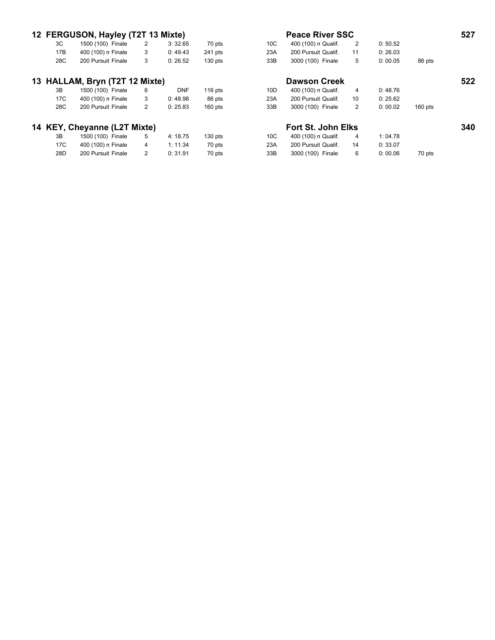|     | 12 FERGUSON, Hayley (T2T 13 Mixte) |   |            |           | <b>Peace River SSC</b> |                           |    |         |           |     |  |
|-----|------------------------------------|---|------------|-----------|------------------------|---------------------------|----|---------|-----------|-----|--|
| 3C  | 1500 (100) Finale                  | 2 | 3:32.65    | 70 pts    | 10 <sup>C</sup>        | 400 (100) n Qualif.       | 2  | 0:50.52 |           |     |  |
| 17B | 400 (100) n Finale                 | 3 | 0:49.43    | 241 pts   | 23A                    | 200 Pursuit Qualif.       | 11 | 0:26.03 |           |     |  |
| 28C | 200 Pursuit Finale                 | 3 | 0:26.52    | $130$ pts | 33B                    | 3000 (100) Finale         | 5  | 0:00.05 | 86 pts    |     |  |
|     | 13 HALLAM, Bryn (T2T 12 Mixte)     |   |            |           |                        | <b>Dawson Creek</b>       |    |         |           | 522 |  |
| 3B  | 1500 (100) Finale                  | 6 | <b>DNF</b> | $116$ pts | 10 <sub>D</sub>        | 400 (100) n Qualif.       | 4  | 0:48.76 |           |     |  |
| 17C | 400 (100) n Finale                 | 3 | 0:48.98    | 86 pts    | 23A                    | 200 Pursuit Qualif.       | 10 | 0:25.62 |           |     |  |
| 28C | 200 Pursuit Finale                 | 2 | 0:25.83    | $160$ pts | 33B                    | 3000 (100) Finale         | 2  | 0:00.02 | $160$ pts |     |  |
|     | 14 KEY, Cheyanne (L2T Mixte)       |   |            |           |                        | <b>Fort St. John Elks</b> |    |         |           | 340 |  |
| 3B  | 1500 (100) Finale                  | 5 | 4:18.75    | $130$ pts | 10 <sup>C</sup>        | 400 (100) n Qualif.       | 4  | 1:04.78 |           |     |  |
| 17C | 400 (100) n Finale                 | 4 | 1: 11.34   | 70 pts    | 23A                    | 200 Pursuit Qualif.       | 14 | 0:33.07 |           |     |  |
| 28D | 200 Pursuit Finale                 | 2 | 0:31.91    | 70 pts    | 33B                    | 3000 (100) Finale         | 6  | 0:00.06 | 70 pts    |     |  |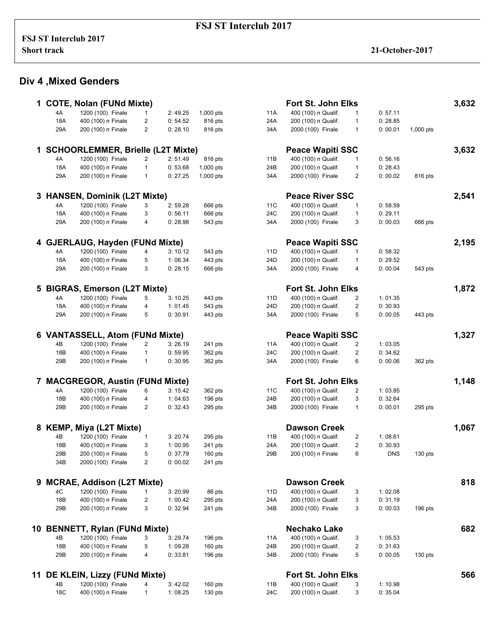# **Div 4 ,Mixed Genders**

|    |            |                                          |                |          |                    |                 | <b>Fort St. John Elks</b> |                         |            |           |
|----|------------|------------------------------------------|----------------|----------|--------------------|-----------------|---------------------------|-------------------------|------------|-----------|
|    |            | <b>COTE, Nolan (FUNd Mixte)</b>          |                |          |                    |                 | 400 (100) n Qualif.       |                         |            |           |
|    | 4A         | 1200 (100) Finale                        | 1              | 2:49.25  | 1,000 pts          | 11A             |                           | $\mathbf{1}$            | 0:57.11    |           |
|    | 18A        | 400 (100) n Finale                       | 2              | 0: 54.52 | 816 pts            | 24A             | 200 (100) n Qualif.       | $\mathbf{1}$            | 0:28.85    |           |
|    | 29A        | 200 (100) n Finale                       | $\overline{2}$ | 0:28.10  | 816 pts            | 34A             | 2000 (100) Finale         | 1                       | 0:00.01    | 1,000 pts |
|    |            | <b>SCHOORLEMMER, Brielle (L2T Mixte)</b> |                |          |                    |                 | <b>Peace Wapiti SSC</b>   |                         |            |           |
|    | 4A         | 1200 (100) Finale                        | $\overline{2}$ | 2: 51.49 | 816 pts            | 11B             | 400 (100) n Qualif.       | 1                       | 0:56.16    |           |
|    | 18A        | 400 (100) n Finale                       | $\mathbf{1}$   | 0:53.68  | 1,000 pts          | 24B             | 200 (100) n Qualif.       | $\mathbf{1}$            | 0:28.43    |           |
|    | 29A        | 200 (100) n Finale                       | $\mathbf{1}$   | 0: 27.25 | 1,000 pts          | 34A             | 2000 (100) Finale         | 2                       | 0:00.02    | 816 pts   |
| 3. |            | <b>HANSEN, Dominik (L2T Mixte)</b>       |                |          |                    |                 | <b>Peace River SSC</b>    |                         |            |           |
|    | 4A         | 1200 (100) Finale                        | 3              | 2:59.28  | 666 pts            | 11C             | 400 (100) n Qualif.       | $\mathbf{1}$            | 0:58.59    |           |
|    | 18A        | 400 (100) n Finale                       | 3              | 0:56.11  | 666 pts            | 24C             | 200 (100) n Qualif.       | 1                       | 0:29.11    |           |
|    | 29A        | 200 (100) n Finale                       | 4              | 0:28.98  | 543 pts            | 34A             | 2000 (100) Finale         | 3                       | 0:00.03    | 666 pts   |
|    |            |                                          |                |          |                    |                 |                           |                         |            |           |
|    |            | 4 GJERLAUG, Hayden (FUNd Mixte)          |                |          |                    |                 | <b>Peace Wapiti SSC</b>   |                         |            |           |
|    | 4A         | 1200 (100) Finale                        | 4              | 3:10.12  | 543 pts            | 11D             | 400 (100) n Qualif.       | 1                       | 0:58.32    |           |
|    | 18A        | 400 (100) n Finale                       | 5              | 1:06.34  | 443 pts            | 24 <sub>D</sub> | 200 (100) n Qualif.       | $\mathbf{1}$            | 0:29.52    |           |
|    | 29A        | 200 (100) n Finale                       | 3              | 0:28.15  | 666 pts            | 34A             | 2000 (100) Finale         | 4                       | 0:00.04    | 543 pts   |
| 5  |            | <b>BIGRAS, Emerson (L2T Mixte)</b>       |                |          |                    |                 | <b>Fort St. John Elks</b> |                         |            |           |
|    | 4A         | 1200 (100) Finale                        | 5              | 3:10.25  | 443 pts            | 11D             | 400 (100) n Qualif.       | $\overline{2}$          | 1:01.35    |           |
|    | 18A        | 400 (100) n Finale                       | 4              | 1:01.45  | 543 pts            | 24D             | 200 (100) n Qualif.       | $\overline{2}$          | 0:30.93    |           |
|    | 29A        | 200 (100) n Finale                       | 5              | 0:30.91  | 443 pts            | 34A             | 2000 (100) Finale         | 5                       | 0:00.05    | 443 pts   |
| 6  |            | <b>VANTASSELL, Atom (FUNd Mixte)</b>     |                |          |                    |                 | <b>Peace Wapiti SSC</b>   |                         |            |           |
|    | 4B         | 1200 (100) Finale                        | $\overline{2}$ | 3:26.19  |                    | 11A             | 400 (100) n Qualif.       | 2                       | 1:03.05    |           |
|    | 18B        | 400 (100) n Finale                       | $\mathbf{1}$   | 0:59.95  | 241 pts<br>362 pts | 24C             | 200 (100) n Qualif.       | 2                       | 0:34.62    |           |
|    | 29B        | 200 (100) n Finale                       | $\mathbf{1}$   | 0:30.95  | 362 pts            | 34A             | 2000 (100) Finale         | 6                       | 0:00.06    | 362 pts   |
|    |            |                                          |                |          |                    |                 |                           |                         |            |           |
| 7  |            | <b>MACGREGOR, Austin (FUNd Mixte)</b>    |                |          |                    |                 | <b>Fort St. John Elks</b> |                         |            |           |
|    | 4A         | 1200 (100) Finale                        | 6              | 3:15.42  | 362 pts            | 11C             | 400 (100) n Qualif.       | 2                       | 1:03.85    |           |
|    | 18B        | 400 (100) n Finale                       | 4              | 1:04.63  | 196 pts            | 24B             | 200 (100) n Qualif.       | 3                       | 0:32.64    |           |
|    | 29B        | 200 (100) n Finale                       | $\overline{2}$ | 0: 32.43 | 295 pts            | 34B             | 2000 (100) Finale         | $\mathbf{1}$            | 0:00.01    | 295 pts   |
| 8  |            | <b>KEMP, Miya (L2T Mixte)</b>            |                |          |                    |                 | <b>Dawson Creek</b>       |                         |            |           |
|    | 4B         | 1200 (100) Finale                        | 1              | 3:20.74  | 295 pts            | 11B             | 400 (100) n Qualif.       | 2                       | 1:08.61    |           |
|    | 18B        | 400 (100) n Finale                       | 3              | 1:00.95  | 241 pts            | 24A             | 200 (100) n Qualif.       | 2                       | 0:30.93    |           |
|    | 29B        | 200 (100) n Finale                       | 5              | 0:37.79  | 160 pts            | 29B             | 200 (100) n Finale        | 6                       | <b>DNS</b> | 130 pts   |
|    | 34B        | 2000 (100) Finale                        | $\overline{2}$ | 0:00.02  | 241 pts            |                 |                           |                         |            |           |
| 9  |            | <b>MCRAE, Addison (L2T Mixte)</b>        |                |          |                    |                 | <b>Dawson Creek</b>       |                         |            |           |
|    | 4C         | 1200 (100) Finale                        | $\mathbf{1}$   | 3:20.99  | 86 pts             | 11D             | 400 (100) n Qualif.       | 3                       | 1:02.08    |           |
|    | 18B        | 400 (100) n Finale                       | $\overline{2}$ | 1:00.42  | 295 pts            | 24A             | 200 (100) n Qualif.       | 3                       | 0:31.19    |           |
|    | 29B        | 200 (100) n Finale                       | 3              | 0:32.94  | 241 pts            | 34B             | 2000 (100) Finale         | 3                       | 0:00.03    | 196 pts   |
|    |            |                                          |                |          |                    |                 |                           |                         |            |           |
|    |            | 10 BENNETT, Rylan (FUNd Mixte)           |                |          |                    |                 | <b>Nechako Lake</b>       |                         |            |           |
|    | 4B         | 1200 (100) Finale                        | 3              | 3:29.74  | 196 pts            | 11A             | 400 (100) n Qualif.       | 3                       | 1:05.53    |           |
|    | 18B        | 400 (100) n Finale                       | 5              | 1:09.28  | 160 pts            | 24B             | 200 (100) n Qualif.       | $\overline{\mathbf{c}}$ | 0:31.63    |           |
|    | 29B        | 200 (100) n Finale                       | 4              | 0: 33.81 | 196 pts            | 34B             | 2000 (100) Finale         | 5                       | 0:00.05    | $130$ pts |
| 11 |            | DE KLEIN, Lizzy (FUNd Mixte)             |                |          |                    |                 | Fort St. John Elks        |                         |            |           |
|    | 4B         | 1200 (100) Finale                        | 4              | 3:42.02  | $160$ pts          | 11B             | 400 (100) n Qualif.       | 3                       | 1:10.98    |           |
|    | <b>18C</b> | 400 (100) n Finale                       | $\mathbf{1}$   | 1:08.25  | $130$ pts          | 24C             | 200 (100) n Qualif.       | 3                       | 0:35.04    |           |

|    |     | 1 COTE, Nolan (FUNd Mixte)               |                |                    |                    |                 | <b>Fort St. John Elks</b>                      |              |            |           | 3,632 |
|----|-----|------------------------------------------|----------------|--------------------|--------------------|-----------------|------------------------------------------------|--------------|------------|-----------|-------|
|    | 4A  | 1200 (100) Finale                        | 1              | 2:49.25            | 1,000 pts          | 11A             | 400 (100) n Qualif.                            | 1            | 0:57.11    |           |       |
|    | 18A | 400 (100) n Finale                       | $\overline{c}$ | 0:54.52            | 816 pts            | 24A             | 200 (100) n Qualif.                            | $\mathbf{1}$ | 0:28.85    |           |       |
|    | 29A | 200 (100) n Finale                       | $\overline{2}$ | 0:28.10            | 816 pts            | 34A             | 2000 (100) Finale                              | $\mathbf{1}$ | 0:00.01    | 1,000 pts |       |
|    |     |                                          |                |                    |                    |                 |                                                |              |            |           |       |
|    |     | <b>SCHOORLEMMER, Brielle (L2T Mixte)</b> | $\overline{2}$ |                    |                    |                 | <b>Peace Wapiti SSC</b><br>400 (100) n Qualif. |              |            |           | 3,632 |
|    | 4A  | 1200 (100) Finale                        |                | 2: 51.49           | 816 pts            | 11B             |                                                | 1            | 0:56.16    |           |       |
|    | 18A | 400 (100) n Finale                       | 1              | 0:53.68            | 1,000 pts          | 24B             | 200 (100) n Qualif.                            | $\mathbf{1}$ | 0:28.43    |           |       |
|    | 29A | 200 (100) n Finale                       | 1              | 0:27.25            | 1,000 pts          | 34A             | 2000 (100) Finale                              | 2            | 0:00.02    | 816 pts   |       |
|    |     | 3 HANSEN, Dominik (L2T Mixte)            |                |                    |                    |                 | <b>Peace River SSC</b>                         |              |            |           | 2,541 |
|    | 4A  | 1200 (100) Finale                        | 3              | 2:59.28            | 666 pts            | 11C             | 400 (100) n Qualif.                            | 1            | 0:58.59    |           |       |
|    | 18A | 400 (100) n Finale                       | 3              | 0:56.11            | 666 pts            | 24C             | 200 (100) n Qualif.                            | 1            | 0:29.11    |           |       |
|    | 29A | 200 (100) n Finale                       | 4              | 0:28.98            | 543 pts            | 34A             | 2000 (100) Finale                              | 3            | 0:00.03    | 666 pts   |       |
|    |     | 4 GJERLAUG, Hayden (FUNd Mixte)          |                |                    |                    |                 | <b>Peace Wapiti SSC</b>                        |              |            |           | 2,195 |
|    | 4A  | 1200 (100) Finale                        | 4              | 3:10.12            | 543 pts            | 11D             | 400 (100) n Qualif.                            | 1            | 0:58.32    |           |       |
|    | 18A | 400 (100) n Finale                       | 5              | 1:06.34            | 443 pts            | 24 <sub>D</sub> | 200 (100) n Qualif.                            | $\mathbf{1}$ | 0:29.52    |           |       |
|    | 29A | 200 (100) n Finale                       | 3              | 0:28.15            | 666 pts            | 34A             | 2000 (100) Finale                              | 4            | 0:00.04    | 543 pts   |       |
|    |     |                                          |                |                    |                    |                 |                                                |              |            |           |       |
| 5  |     | <b>BIGRAS, Emerson (L2T Mixte)</b>       |                |                    |                    |                 | Fort St. John Elks                             |              |            |           | 1,872 |
|    | 4A  | 1200 (100) Finale                        | 5              | 3:10.25            | 443 pts            | 11D             | 400 (100) n Qualif.                            | 2            | 1:01.35    |           |       |
|    | 18A | 400 (100) n Finale                       | 4              | 1:01.45            | 543 pts            | 24 <sub>D</sub> | 200 (100) n Qualif.                            | 2            | 0:30.93    |           |       |
|    | 29A | 200 (100) n Finale                       | 5              | 0:30.91            | 443 pts            | 34A             | 2000 (100) Finale                              | 5            | 0:00.05    | 443 pts   |       |
|    |     | 6 VANTASSELL, Atom (FUNd Mixte)          |                |                    |                    |                 | <b>Peace Wapiti SSC</b>                        |              |            |           | 1,327 |
|    | 4B  | 1200 (100) Finale                        | $\overline{2}$ | 3:26.19            | 241 pts            | 11A             | 400 (100) n Qualif.                            | 2            | 1:03.05    |           |       |
|    | 18B | 400 (100) n Finale                       | $\mathbf{1}$   | 0:59.95            | 362 pts            | 24C             | 200 (100) n Qualif.                            | 2            | 0: 34.62   |           |       |
|    | 29B | 200 (100) n Finale                       | $\mathbf{1}$   | 0:30.95            | 362 pts            | 34A             | 2000 (100) Finale                              | 6            | 0:00.06    | 362 pts   |       |
| 7  |     | <b>MACGREGOR, Austin (FUNd Mixte)</b>    |                |                    |                    |                 | Fort St. John Elks                             |              |            |           | 1,148 |
|    | 4A  | 1200 (100) Finale                        | 6              | 3:15.42            | 362 pts            | 11C             | 400 (100) n Qualif.                            | 2            | 1:03.85    |           |       |
|    | 18B | 400 (100) n Finale                       | 4              | 1:04.63            | 196 pts            | 24B             | 200 (100) n Qualif.                            | 3            | 0:32.64    |           |       |
|    | 29B | 200 (100) n Finale                       | 2              | 0: 32.43           | 295 pts            | 34B             | 2000 (100) Finale                              | $\mathbf{1}$ | 0:00.01    | 295 pts   |       |
|    |     |                                          |                |                    |                    |                 |                                                |              |            |           |       |
|    |     | 8 KEMP, Miya (L2T Mixte)                 |                |                    |                    |                 | <b>Dawson Creek</b>                            |              |            |           | 1,067 |
|    | 4B  | 1200 (100) Finale                        | 1              | 3:20.74            | 295 pts            | 11B             | 400 (100) n Qualif.                            | 2            | 1:08.61    |           |       |
|    | 18B | 400 (100) n Finale                       | 3              | 1:00.95            | 241 pts            | 24A             | 200 (100) n Qualif.                            | 2            | 0:30.93    |           |       |
|    | 29B | 200 (100) n Finale                       | 5              | 0:37.79            | $160$ pts          | 29B             | 200 (100) n Finale                             | 6            | <b>DNS</b> | $130$ pts |       |
|    | 34B | 2000 (100) Finale                        | 2              | 0:00.02            | 241 pts            |                 |                                                |              |            |           |       |
|    |     | 9 MCRAE, Addison (L2T Mixte)             |                |                    |                    |                 | <b>Dawson Creek</b>                            |              |            |           | 818   |
|    | 4C  | 1200 (100) Finale                        | 1              | 3:20.99            | 86 pts             | 11D             | 400 (100) n Qualif.                            | 3            | 1:02.08    |           |       |
|    | 18B |                                          |                |                    |                    |                 | 200 (100) n Qualif.                            |              | 0:31.19    |           |       |
|    | 29B | 400 (100) n Finale<br>200 (100) n Finale | 2<br>3         | 1:00.42<br>0:32.94 | 295 pts<br>241 pts | 24A<br>34B      | 2000 (100) Finale                              | 3<br>3       | 0:00.03    | 196 pts   |       |
|    |     |                                          |                |                    |                    |                 |                                                |              |            |           |       |
|    |     | 10 BENNETT, Rylan (FUNd Mixte)           |                |                    |                    |                 | <b>Nechako Lake</b>                            |              |            |           | 682   |
|    | 4B  | 1200 (100) Finale                        | 3              | 3:29.74            | $196$ pts          | 11A             | 400 (100) n Qualif.                            | 3            | 1:05.53    |           |       |
|    | 18B | 400 (100) n Finale                       | 5              | 1:09.28            | 160 pts            | 24B             | 200 (100) n Qualif.                            | 2            | 0:31.63    |           |       |
|    | 29B | 200 (100) n Finale                       | 4              | 0: 33.81           | 196 pts            | 34B             | 2000 (100) Finale                              | 5            | 0:00.05    | 130 pts   |       |
| 11 |     | DE KLEIN, Lizzy (FUNd Mixte)             |                |                    |                    |                 | Fort St. John Elks                             |              |            |           | 566   |
|    | 4B  | 1200 (100) Finale                        | 4              | 3:42.02            | 160 pts            | 11B             | 400 (100) n Qualif.                            | 3            | 1:10.98    |           |       |
|    | 18C | 400 (100) n Finale                       | $\mathbf{1}$   | 1:08.25            | $130$ pts          | 24C             | 200 (100) n Qualif.                            | 3            | 0:35.04    |           |       |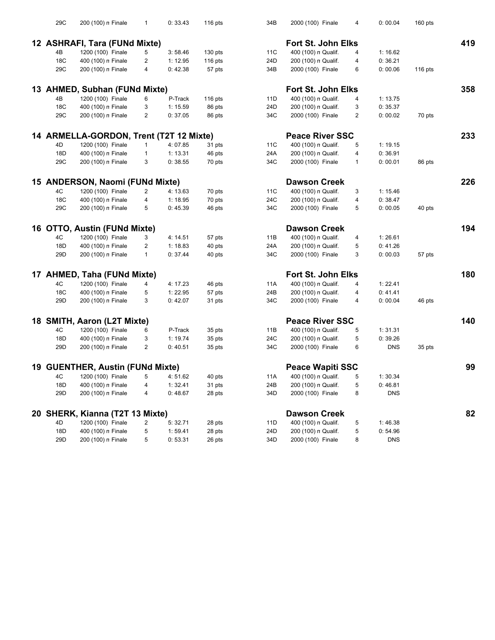| 29C | 200 (100) n Finale                      | $\mathbf{1}$   | 0: 33.43 | 116 $pts$        | 34B | 2000 (100) Finale       | 4              | 0:00.04    | 160 pts |     |
|-----|-----------------------------------------|----------------|----------|------------------|-----|-------------------------|----------------|------------|---------|-----|
|     | 12 ASHRAFI, Tara (FUNd Mixte)           |                |          |                  |     | Fort St. John Elks      |                |            |         | 419 |
| 4B  | 1200 (100) Finale                       | 5              | 3:58.46  | $130$ pts        | 11C | 400 (100) n Qualif.     | 4              | 1:16.62    |         |     |
| 18C | 400 (100) n Finale                      | 2              | 1: 12.95 | 116 pts          | 24D | 200 (100) n Qualif.     | 4              | 0:36.21    |         |     |
| 29C | 200 (100) n Finale                      | 4              | 0:42.38  | 57 pts           | 34B | 2000 (100) Finale       | 6              | 0:00.06    | 116 pts |     |
|     |                                         |                |          |                  |     |                         |                |            |         |     |
|     | 13 AHMED, Subhan (FUNd Mixte)           |                |          |                  |     | Fort St. John Elks      |                |            |         | 358 |
| 4B  | 1200 (100) Finale                       | 6              | P-Track  | 116 pts          | 11D | 400 (100) n Qualif.     | 4              | 1: 13.75   |         |     |
| 18C | 400 (100) n Finale                      | 3              | 1: 15.59 | 86 pts           | 24D | 200 (100) n Qualif.     | 3              | 0:35.37    |         |     |
| 29C | 200 (100) n Finale                      | $\overline{2}$ | 0:37.05  | 86 pts           | 34C | 2000 (100) Finale       | $\overline{2}$ | 0:00.02    | 70 pts  |     |
|     | 14 ARMELLA-GORDON, Trent (T2T 12 Mixte) |                |          |                  |     | <b>Peace River SSC</b>  |                |            |         | 233 |
| 4D  | 1200 (100) Finale                       | $\mathbf{1}$   | 4:07.85  | 31 pts           | 11C | 400 (100) n Qualif.     | 5              | 1:19.15    |         |     |
| 18D | 400 (100) n Finale                      | $\mathbf{1}$   | 1: 13.31 | 46 pts           | 24A | 200 (100) n Qualif.     | 4              | 0:36.91    |         |     |
| 29C | 200 (100) n Finale                      | 3              | 0:38.55  | 70 pts           | 34C | 2000 (100) Finale       | $\mathbf{1}$   | 0:00.01    | 86 pts  |     |
|     | 15 ANDERSON, Naomi (FUNd Mixte)         |                |          |                  |     | <b>Dawson Creek</b>     |                |            |         | 226 |
| 4C  | 1200 (100) Finale                       | 2              | 4: 13.63 | 70 pts           | 11C | 400 (100) n Qualif.     | 3              | 1:15.46    |         |     |
| 18C | 400 (100) n Finale                      | 4              | 1:18.95  | 70 pts           | 24C | 200 (100) n Qualif.     | 4              | 0:38.47    |         |     |
| 29C | 200 (100) n Finale                      | 5              | 0:45.39  | 46 pts           | 34C | 2000 (100) Finale       | 5              | 0:00.05    | 40 pts  |     |
|     |                                         |                |          |                  |     |                         |                |            |         |     |
|     | 16 OTTO, Austin (FUNd Mixte)            |                |          |                  |     | <b>Dawson Creek</b>     |                |            |         | 194 |
| 4C  | 1200 (100) Finale                       | 3              | 4: 14.51 | 57 pts           | 11B | 400 (100) n Qualif.     | 4              | 1:26.61    |         |     |
| 18D | 400 (100) n Finale                      | $\overline{2}$ | 1:18.83  | 40 pts           | 24A | 200 (100) n Qualif.     | 5              | 0:41.26    |         |     |
| 29D | 200 (100) n Finale                      | $\mathbf{1}$   | 0: 37.44 | 40 pts           | 34C | 2000 (100) Finale       | 3              | 0:00.03    | 57 pts  |     |
|     | 17 AHMED, Taha (FUNd Mixte)             |                |          |                  |     | Fort St. John Elks      |                |            |         | 180 |
| 4C  | 1200 (100) Finale                       | 4              | 4: 17.23 | 46 pts           | 11A | 400 (100) n Qualif.     | 4              | 1:22.41    |         |     |
| 18C | 400 (100) n Finale                      | 5              | 1:22.95  | 57 pts           | 24B | 200 (100) n Qualif.     | 4              | 0: 41.41   |         |     |
| 29D | 200 (100) n Finale                      | 3              | 0:42.07  | 31 pts           | 34C | 2000 (100) Finale       | 4              | 0:00.04    | 46 pts  |     |
|     | 18 SMITH, Aaron (L2T Mixte)             |                |          |                  |     | <b>Peace River SSC</b>  |                |            |         | 140 |
| 4C  | 1200 (100) Finale                       | 6              | P-Track  | 35 pts           | 11B | 400 (100) n Qualif.     | 5              | 1:31.31    |         |     |
| 18D | 400 (100) n Finale                      | 3              | 1:19.74  | 35 pts           | 24C | 200 (100) n Qualif.     | 5              | 0:39.26    |         |     |
| 29D | 200 (100) n Finale                      | $\overline{2}$ | 0:40.51  | 35 pts           | 34C | 2000 (100) Finale       | 6              | <b>DNS</b> | 35 pts  |     |
|     | 19 GUENTHER, Austin (FUNd Mixte)        |                |          |                  |     | <b>Peace Wapiti SSC</b> |                |            |         | 99  |
|     | 4C  1200 (100)  Finale  5               |                | 4:51.62  |                  | 11A | 400 (100) n Qualif.     |                | 1:30.34    |         |     |
| 18D | 400 (100) n Finale                      |                | 1:32.41  | 40 pts           | 24B | 200 (100) n Qualif.     | 5              | 0:46.81    |         |     |
| 29D | 200 (100) n Finale                      | 4<br>4         | 0:48.67  | 31 pts<br>28 pts | 34D | 2000 (100) Finale       | 8              | <b>DNS</b> |         |     |
|     |                                         |                |          |                  |     |                         |                |            |         |     |
|     | 20 SHERK, Kianna (T2T 13 Mixte)         |                |          |                  |     | <b>Dawson Creek</b>     |                |            |         | 82  |
| 4D  | 1200 (100) Finale                       | 2              | 5:32.71  | 28 pts           | 11D | 400 (100) n Qualif.     | 5              | 1:46.38    |         |     |
| 18D | 400 (100) n Finale                      | 5              | 1:59.41  | 28 pts           | 24D | 200 (100) n Qualif.     | 5              | 0:54.96    |         |     |
| 29D | 200 (100) n Finale                      | 5              | 0:53.31  | 26 pts           | 34D | 2000 (100) Finale       | 8              | <b>DNS</b> |         |     |

| 3                        | 2000 (100) Finale         | 4 | 0:00.04    | $160$ pts |     |
|--------------------------|---------------------------|---|------------|-----------|-----|
|                          | <b>Fort St. John Elks</b> |   |            |           | 419 |
|                          | 400 (100) n Qualif.       | 4 | 1:16.62    |           |     |
|                          | 200 (100) n Qualif.       | 4 | 0:36.21    |           |     |
|                          | 2000 (100) Finale         | 6 | 0:00.06    | 116 pts   |     |
|                          | Fort St. John Elks        |   |            |           | 358 |
|                          | 400 (100) n Qualif.       | 4 | 1:13.75    |           |     |
|                          | 200 (100) n Qualif.       | 3 | 0:35.37    |           |     |
|                          | 2000 (100) Finale         | 2 | 0:00.02    | 70 pts    |     |
|                          | <b>Peace River SSC</b>    |   |            |           | 233 |
|                          | 400 (100) n Qualif.       | 5 | 1:19.15    |           |     |
|                          | 200 (100) n Qualif.       | 4 | 0:36.91    |           |     |
|                          | 2000 (100) Finale         | 1 | 0:00.01    | 86 pts    |     |
|                          | <b>Dawson Creek</b>       |   |            |           | 226 |
|                          | 400 (100) n Qualif.       | 3 | 1:15.46    |           |     |
|                          | 200 (100) n Qualif.       | 4 | 0:38.47    |           |     |
|                          | 2000 (100) Finale         | 5 | 0:00.05    | 40 pts    |     |
|                          | <b>Dawson Creek</b>       |   |            |           | 194 |
|                          | 400 (100) n Qualif.       | 4 | 1:26.61    |           |     |
|                          | 200 (100) n Qualif.       | 5 | 0:41.26    |           |     |
|                          | 2000 (100) Finale         | 3 | 0:00.03    | 57 pts    |     |
|                          | <b>Fort St. John Elks</b> |   |            |           | 180 |
|                          | 400 (100) n Qualif.       | 4 | 1:22.41    |           |     |
|                          | 200 (100) n Qualif.       | 4 | 0: 41.41   |           |     |
|                          | 2000 (100) Finale         | 4 | 0:00.04    | 46 pts    |     |
|                          | <b>Peace River SSC</b>    |   |            |           | 140 |
|                          | 400 (100) n Qualif.       | 5 | 1:31.31    |           |     |
|                          | 200 (100) n Qualif.       | 5 | 0:39.26    |           |     |
|                          | 2000 (100) Finale         | 6 | <b>DNS</b> | 35 pts    |     |
|                          | <b>Peace Wapiti SSC</b>   |   |            |           | 99  |
|                          | 400 (100) n Qualif.       | 5 | 1:30.34    |           |     |
| ś                        | 200 (100) n Qualif.       | 5 | 0:46.81    |           |     |
| $\overline{\phantom{a}}$ | 2000 (100) Finale         | 8 | <b>DNS</b> |           |     |
|                          | <b>Dawson Creek</b>       |   |            |           | 82  |
|                          | 400 (100) n Qualif.       | 5 | 1:46.38    |           |     |
| )                        | 200 (100) n Qualif.       | 5 | 0:54.96    |           |     |
| J                        | 2000 (100) Finale         | 8 | <b>DNS</b> |           |     |
|                          |                           |   |            |           |     |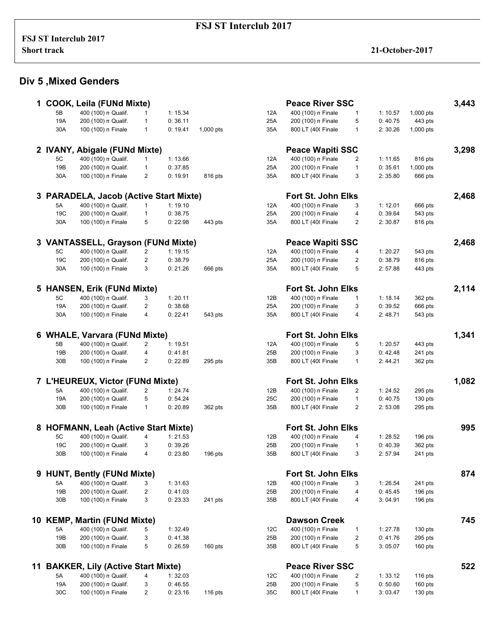# **Div 5 ,Mixed Genders**

|    |                        | 1 COOK, Leila (FUNd Mixte)                |        |                    |           |            | <b>Peace River SSC</b>                   |                |                    |                    | 3,443 |
|----|------------------------|-------------------------------------------|--------|--------------------|-----------|------------|------------------------------------------|----------------|--------------------|--------------------|-------|
|    | 5B                     | 400 (100) n Qualif.                       | 1      | 1:15.34            |           | 12A        | 400 (100) n Finale                       | 1              | 1:10.57            | 1,000 pts          |       |
|    | 19A                    | 200 (100) n Qualif.                       | 1      | 0:36.11            |           | 25A        | 200 (100) n Finale                       | 5              | 0:40.75            | 443 pts            |       |
|    | 30A                    | 100 (100) n Finale                        | 1      | 0:19.41            | 1,000 pts | 35A        | 800 LT (400 Finale                       | $\mathbf{1}$   | 2:30.26            | 1,000 pts          |       |
|    |                        | 2 IVANY, Abigale (FUNd Mixte)             |        |                    |           |            | <b>Peace Wapiti SSC</b>                  |                |                    |                    | 3,298 |
|    | 5C                     | 400 (100) n Qualif.                       | 1      | 1:13.66            |           | 12A        | 400 (100) n Finale                       | $\overline{2}$ | 1:11.65            | 816 pts            |       |
|    | 19 <sub>B</sub>        | 200 (100) n Qualif.                       | 1      | 0:37.85            |           | 25A        | 200 (100) n Finale                       | $\mathbf{1}$   | 0:35.61            | 1,000 pts          |       |
|    | 30A                    | 100 (100) n Finale                        | 2      | 0:19.91            | 816 pts   | 35A        | 800 LT (400 Finale                       | 3              | 2:35.80            | 666 pts            |       |
|    |                        |                                           |        |                    |           |            |                                          |                |                    |                    |       |
|    |                        | 3 PARADELA, Jacob (Active Start Mixte)    |        |                    |           |            | Fort St. John Elks                       |                |                    |                    | 2,468 |
|    | 5A                     | 400 (100) n Qualif.                       | 1      | 1:19.10            |           | 12A        | 400 (100) n Finale                       | 3              | 1:12.01            | 666 pts            |       |
|    | 19C                    | 200 (100) n Qualif.                       | 1      | 0:38.75            |           | 25A        | 200 (100) n Finale                       | 4              | 0:39.64            | 543 pts            |       |
|    | 30A                    | 100 (100) n Finale                        | 5      | 0:22.98            | 443 pts   | 35A        | 800 LT (400 Finale                       | $\overline{2}$ | 2:30.87            | 816 pts            |       |
|    |                        | <b>VANTASSELL, Grayson (FUNd Mixte)</b>   |        |                    |           |            | <b>Peace Wapiti SSC</b>                  |                |                    |                    | 2,468 |
|    | 5C                     | 400 (100) n Qualif.                       | 2      | 1:19.15            |           | 12A        | 400 (100) n Finale                       | 4              | 1:20.27            | 543 pts            |       |
|    | 19C                    | 200 (100) n Qualif.                       | 2      | 0:38.79            |           | 25A        | 200 (100) n Finale                       | 2              | 0:38.79            | 816 pts            |       |
|    | 30A                    | 100 (100) n Finale                        | 3      | 0:21.26            | 666 pts   | 35A        | 800 LT (400 Finale                       | 5              | 2:57.88            | 443 pts            |       |
| 5  |                        | <b>HANSEN, Erik (FUNd Mixte)</b>          |        |                    |           |            | <b>Fort St. John Elks</b>                |                |                    |                    | 2,114 |
|    | 5C                     |                                           |        |                    |           |            |                                          |                |                    |                    |       |
|    |                        | 400 (100) n Qualif.                       | 3      | 1:20.11            |           | 12B        | 400 (100) n Finale                       | 1              | 1:18.14            | 362 pts            |       |
|    | 19A                    | 200 (100) n Qualif.                       | 2<br>4 | 0:38.68            |           | 25A        | 200 (100) n Finale                       | 3              | 0:39.52            | 666 pts            |       |
|    | 30A                    | 100 (100) n Finale                        |        | 0: 22.41           | 543 pts   | 35A        | 800 LT (400 Finale                       | 4              | 2:48.71            | 543 pts            |       |
| 6  |                        | <b>WHALE, Varvara (FUNd Mixte)</b>        |        |                    |           |            | Fort St. John Elks                       |                |                    |                    | 1,341 |
|    | 5B                     | 400 (100) n Qualif.                       | 2      | 1:19.51            |           | 12A        | 400 (100) n Finale                       | 5              | 1:20.57            | 443 pts            |       |
|    | 19 <sub>B</sub>        | 200 (100) n Qualif.                       | 4      | 0:41.81            |           | 25B        | 200 (100) n Finale                       | 3              | 0:42.48            | 241 pts            |       |
|    | 30 <sub>B</sub>        | 100 (100) n Finale                        | 2      | 0:22.89            | 295 pts   | 35B        | 800 LT (400 Finale                       | $\mathbf{1}$   | 2:44.21            | 362 pts            |       |
|    |                        | 7 L'HEUREUX, Victor (FUNd Mixte)          |        |                    |           |            | Fort St. John Elks                       |                |                    |                    | 1,082 |
|    | 5A                     | 400 (100) n Qualif.                       | 2      | 1:24.74            |           | 12B        | 400 (100) n Finale                       | 2              | 1:24.52            | 295 pts            |       |
|    | 19A                    | 200 (100) n Qualif.                       | 5      | 0:54.24            |           | 25C        | 200 (100) n Finale                       | $\mathbf{1}$   | 0:40.75            | 130 pts            |       |
|    | 30 <sub>B</sub>        | 100 (100) n Finale                        | 1      | 0:20.89            | 362 pts   | 35B        | 800 LT (400 Finale                       | $\overline{c}$ | 2:53.08            | 295 pts            |       |
|    |                        |                                           |        |                    |           |            |                                          |                |                    |                    |       |
| 8  |                        | <b>HOFMANN, Leah (Active Start Mixte)</b> |        |                    |           |            | Fort St. John Elks                       |                |                    |                    | 995   |
|    | 5C                     | 400 (100) n Qualif.                       | 4      | 1: 21.53           |           | 12B        | 400 (100) n Finale                       | 4              | 1:28.52            | 196 pts            |       |
|    | 19C                    | 200 (100) n Qualif.                       | 3      | 0:39.26            |           | 25B        | 200 (100) n Finale                       | $\mathbf{1}$   | 0:40.39            | 362 pts            |       |
|    | 30 <sub>B</sub>        | 100 (100) n Finale                        | 4      | 0:23.80            | 196 pts   | 35B        | 800 LT (400 Finale                       | 3              | 2:57.94            | 241 pts            |       |
|    |                        | 9 HUNT, Bently (FUNd Mixte)               |        |                    |           |            | <b>Fort St. John Elks</b>                |                |                    |                    | 874   |
|    | 5A                     | 400 (100) n Qualif.                       | 3      | 1:31.63            |           | 12B        | 400 (100) n Finale                       | 3              | 1:26.54            | 241 pts            |       |
|    | 19B                    | 200 (100) n Qualif.                       | 2      | 0:41.03            |           | 25B        | 200 (100) n Finale                       | 4              | 0:45.45            | 196 pts            |       |
|    | 30B                    | 100 (100) n Finale                        | 3      | 0: 23.33           | 241 pts   | 35B        | 800 LT (400 Finale                       | 4              | 3:04.91            | $196$ pts          |       |
|    |                        |                                           |        |                    |           |            | <b>Dawson Creek</b>                      |                |                    |                    | 745   |
|    |                        | 10 KEMP, Martin (FUNd Mixte)              |        |                    |           |            |                                          |                |                    |                    |       |
|    | 5A                     | 400 (100) n Qualif.                       | 5      | 1:32.49            |           | 12C        | 400 (100) n Finale                       | $\mathbf{1}$   | 1:27.78            | 130 pts            |       |
|    | 19B<br>30 <sub>B</sub> | 200 (100) n Qualif.<br>100 (100) n Finale | 3<br>5 | 0:41.38<br>0:26.59 | 160 pts   | 25B<br>35B | 200 (100) n Finale<br>800 LT (400 Finale | 2<br>5         | 0:41.76<br>3:05.07 | 295 pts<br>160 pts |       |
|    |                        |                                           |        |                    |           |            |                                          |                |                    |                    |       |
| 11 |                        | <b>BAKKER, Lily (Active Start Mixte)</b>  |        |                    |           |            | <b>Peace River SSC</b>                   |                |                    |                    | 522   |
|    | 5A                     | 400 (100) n Qualif.                       | 4      | 1:32.03            |           | 12C        | 400 (100) n Finale                       | 2              | 1:33.12            | $116$ pts          |       |
|    | 19A                    | 200 (100) n Qualif.                       | 3      | 0:46.55            |           | 25B        | 200 (100) n Finale                       | 5              | 0:50.60            | $160$ pts          |       |
|    | 30C                    | 100 (100) n Finale                        | 2      | 0:23.16            | $116$ pts | 35C        | 800 LT (400 Finale                       | 1              | 3:03.47            | $130$ pts          |       |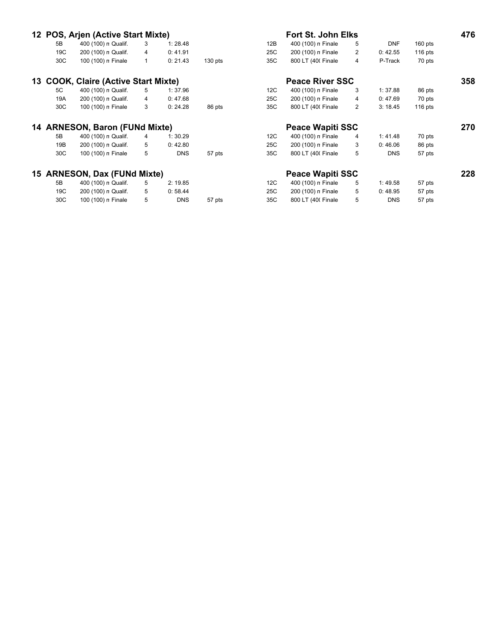|     |                 | 12 POS, Arjen (Active Start Mixte)       |              |            |           |     | <b>Fort St. John Elks</b> |   |            |           | 476 |
|-----|-----------------|------------------------------------------|--------------|------------|-----------|-----|---------------------------|---|------------|-----------|-----|
|     | 5B              | 400 (100) n Qualif.                      | 3            | 1:28.48    |           | 12B | 400 (100) n Finale        | 5 | <b>DNF</b> | $160$ pts |     |
|     | 19C             | 200 (100) n Qualif.                      | 4            | 0:41.91    |           | 25C | 200 (100) n Finale        | 2 | 0:42.55    | $116$ pts |     |
|     | 30C             | 100 (100) n Finale                       | $\mathbf{1}$ | 0: 21.43   | $130$ pts | 35C | 800 LT (400 Finale        | 4 | P-Track    | 70 pts    |     |
| 13. |                 | <b>COOK, Claire (Active Start Mixte)</b> |              |            |           |     | <b>Peace River SSC</b>    |   |            |           | 358 |
|     | 5C              | 400 (100) n Qualif.                      | 5            | 1:37.96    |           | 12C | 400 (100) n Finale        | 3 | 1:37.88    | 86 pts    |     |
|     | 19A             | 200 (100) n Qualif.                      | 4            | 0:47.68    |           | 25C | 200 (100) n Finale        | 4 | 0:47.69    | 70 pts    |     |
|     | 30C             | 100 (100) n Finale                       | 3            | 0:24.28    | 86 pts    | 35C | 800 LT (400 Finale        | 2 | 3:18.45    | 116 pts   |     |
|     |                 | 14 ARNESON, Baron (FUNd Mixte)           |              |            |           |     | <b>Peace Wapiti SSC</b>   |   |            |           | 270 |
|     | 5B              | 400 (100) n Qualif.                      | 4            | 1:30.29    |           | 12C | 400 (100) n Finale        | 4 | 1:41.48    | 70 pts    |     |
|     | 19B             | 200 (100) n Qualif.                      | 5            | 0:42.80    |           | 25C | 200 (100) n Finale        | 3 | 0:46.06    | 86 pts    |     |
|     | 30C             | 100 (100) n Finale                       | 5            | <b>DNS</b> | 57 pts    | 35C | 800 LT (400 Finale        | 5 | <b>DNS</b> | 57 pts    |     |
|     |                 | 15 ARNESON, Dax (FUNd Mixte)             |              |            |           |     | <b>Peace Wapiti SSC</b>   |   |            |           | 228 |
|     | 5B              | 400 (100) n Qualif.                      | 5            | 2:19.85    |           | 12C | 400 (100) n Finale        | 5 | 1:49.58    | 57 pts    |     |
|     | 19C             | 200 (100) n Qualif.                      | 5            | 0:58.44    |           | 25C | 200 (100) n Finale        | 5 | 0:48.95    | 57 pts    |     |
|     | 30 <sup>C</sup> | 100 (100) n Finale                       | 5            | <b>DNS</b> | 57 pts    | 35C | 800 LT (400 Finale        | 5 | <b>DNS</b> | 57 pts    |     |